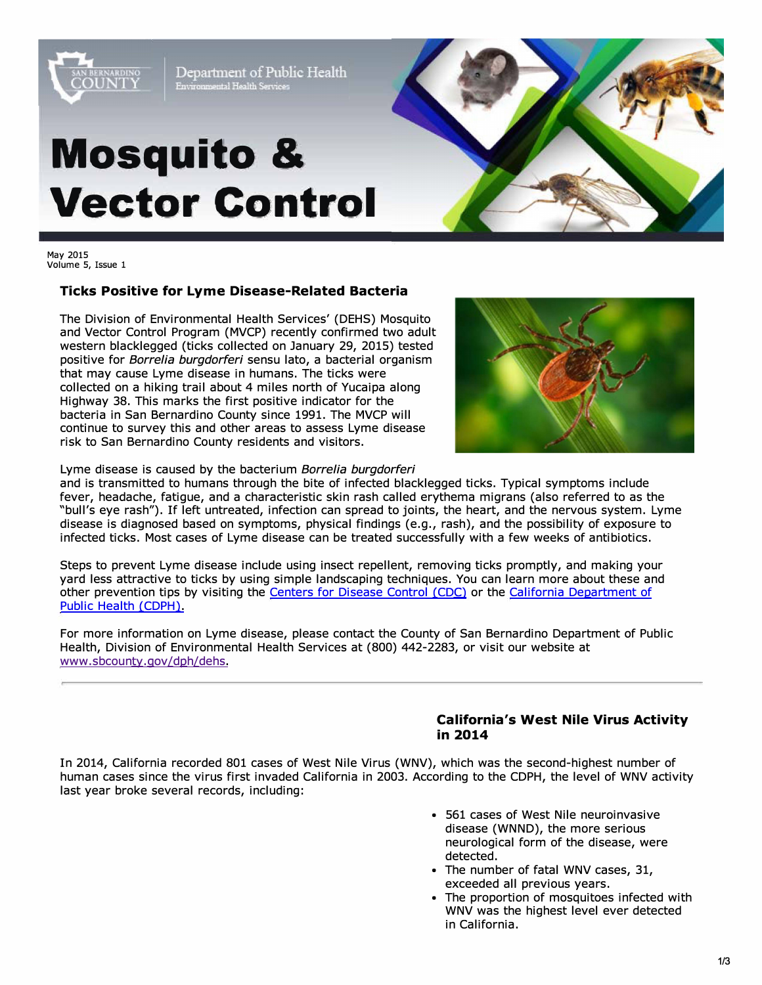

Department of Public Health Environmental Health Services

# **Mosquito & Vector Control**



May 2015 Volume 5, Issue 1

### **Ticks Positive for Lyme Disease-Related Bacteria**

The Division of Environmental Health Services' (DEHS) Mosquito and Vector Control Program {MVCP) recently confirmed two adult western blacklegged (ticks collected on January 29, 2015) tested positive for *Borrelia burgdorferi* sensu lato, a bacterial organism that may cause Lyme disease in humans. The ticks were collected on a hiking trail about 4 miles north of Yucaipa along Highway 38. This marks the first positive indicator for the bacteria in San Bernardino County since 1991. The MVCP will continue to survey this and other areas to assess Lyme disease risk to San Bernardino County residents and visitors.



Lyme disease is caused by the bacterium *Borrelia burgdorferi* 

and is transmitted to humans through the bite of infected blacklegged ticks. Typical symptoms include fever, headache, fatigue, and a characteristic skin rash called erythema migrans (also referred to as the "bull's eye rash"). If left untreated, infection can spread to joints, the heart, and the nervous system. Lyme disease is diagnosed based on symptoms, physical findings (e.g., rash), and the possibility of exposure to infected ticks. Most cases of Lyme disease can be treated successfully with a few weeks of antibiotics.

Steps to prevent Lyme disease include using insect repellent, removing ticks promptly, and making your yard less attractive to ticks by using simple landscaping techniques. You can learn more about these and other prevention tips by visiting the [Centers for Disease Control](https://www.cdc.gov/lyme/prev/index.html) *(CDC)* or th[e California Department of](http://www.cdph.ca.gov/HealthInfo/discond/Pages/TickBorneDiseases.aspx)  [Public Health \(CDPH\).](http://www.cdph.ca.gov/HealthInfo/discond/Pages/TickBorneDiseases.aspx) 

For more information on Lyme disease, please contact the County of San Bernardino Department of Public Health, Division of Environmental Health Services at (800) 442-2283, or visit our website at [www .sbcounty.qov /dph/dehs.](http://www.sbcounty.gov/dph/dehs/)

### **California's West Nile Virus Activity in 2014**

In 2014, California recorded 801 cases of West Nile Virus (WNV), which was the second-highest number of human cases since the virus first invaded California in 2003. According to the CDPH, the level of WNV activity last year broke several records, including:

- 561 cases of West Nile neuroinvasive disease (WNND), the more serious neurological form of the disease, were detected.
- The number of fatal WNV cases, 31, exceeded all previous years.
- The proportion of mosquitoes infected with WNV was the highest level ever detected in California.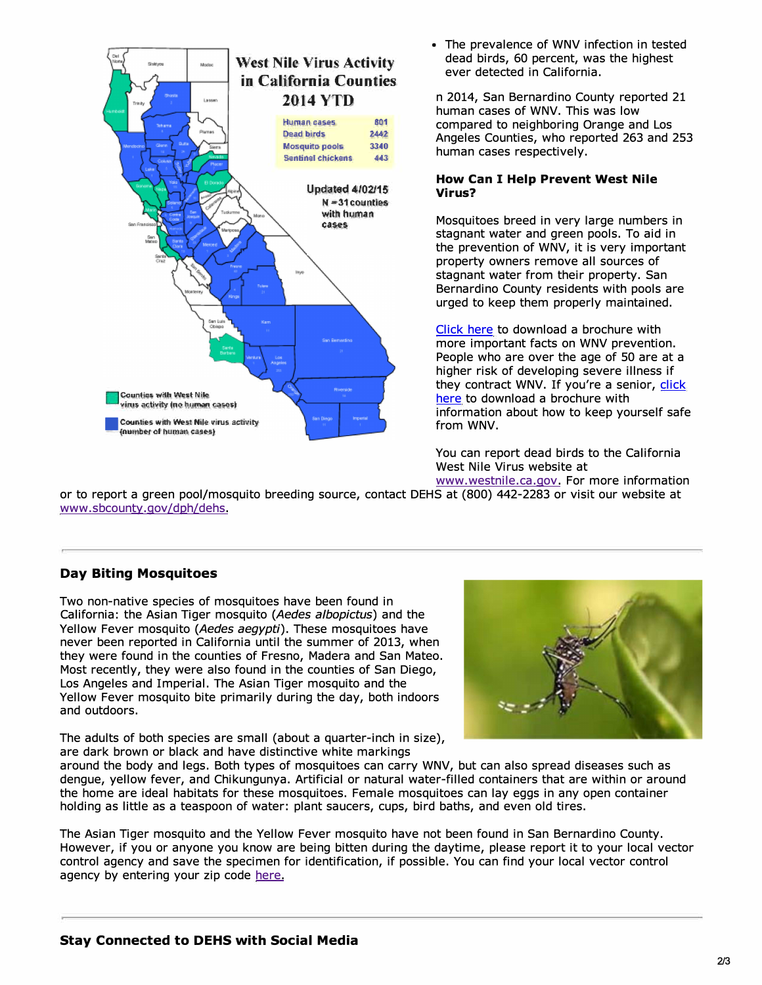

• The prevalence of WNV infection in tested dead birds, 60 percent, was the highest ever detected in California.

n 2014, San Bernardino County reported 21 human cases of WNV. This was low compared to neighboring Orange and Los Angeles Counties, who reported 263 and 253 human cases respectively.

#### **How Can I Help Prevent West Nile Virus?**

Mosquitoes breed in very large numbers in stagnant water and green pools. To aid in the prevention of WNV, it is very important property owners remove all sources of stagnant water from their property. San Bernardino County residents with pools are urged to keep them properly maintained.

[Click here t](http://www.sbcounty.gov/uploads/dph/dehs/depts/vectorcontrol/WestNileVirusImportantFactsandSafetyTipsBrochure.pdf)o download a brochure with more important facts on WNV prevention. People who are over the age of 50 are at a higher risk of developing severe illness if they contract WNV. If you're a senior, click [here](http://www.sbcounty.gov/uploads/dph/dehs/depts/vectorcontrol/WestNileVirusInformationforSeniorsBrochure.pdf) to download a brochure with information about how to keep yourself safe from WNV.

You can report dead birds to the California West Nile Virus website at

[www.westnile.ca.gov.](http://www.westnile.ca.gov/) For more information or to report a green pool/mosquito breeding source, contact DEHS at (800) 442-2283 or visit our website at [www.sbcounty.gov/dph/dehs.](http://www.sbcounty.gov/dph/dehs/) 

## **Day Biting Mosquitoes**

Two non-native species of mosquitoes have been found in California: the Asian Tiger mosquito *(Aedes albopictus)* and the Yellow Fever mosquito *(Aedes aegypti).* These mosquitoes have never been reported in California until the summer of 2013, when they were found in the counties of Fresno, Madera and San Mateo. Most recently, they were also found in the counties of San Diego, Los Angeles and Imperial. The Asian Tiger mosquito and the Yellow Fever mosquito bite primarily during the day, both indoors and outdoors.

The adults of both species are small (about a quarter-inch in size), are dark brown or black and have distinctive white markings



around the body and legs. Both types of mosquitoes can carry WNV, but can also spread diseases such as dengue, yellow fever, and Chikungunya. Artificial or natural water-filled containers that are within or around the home are ideal habitats for these mosquitoes. Female mosquitoes can lay eggs in any open container holding as little as a teaspoon of water: plant saucers, cups, bird baths, and even old tires.

The Asian Tiger mosquito and the Yellow Fever mosquito have not been found in San Bernardino County. However, if you or anyone you know are being bitten during the daytime, please report it to your local vector control agency and save the specimen for identification, if possible. You can find your local vector control agency by entering your zip code here.